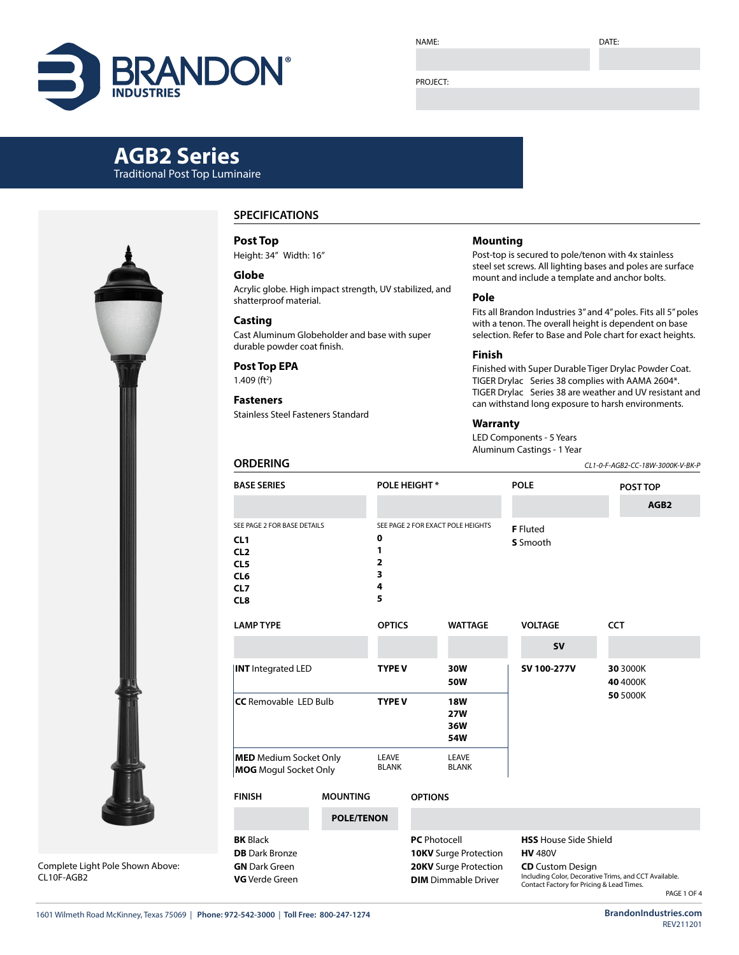# **BRANDO**

NAME:

DATE:

#### PROJECT:

# **AGB2 Series**

Traditional Post Top Luminaire



Complete Light Pole Shown Above: CL10F-AGB2

### **SPECIFICATIONS**

**Post Top** Height: 34" Width: 16"

## **Globe**

Acrylic globe. High impact strength, UV stabilized, and shatterproof material.

#### **Casting**

Cast Aluminum Globeholder and base with super durable powder coat finish.

#### **Post Top EPA**

**ORDERING**

 $1.409$  (ft<sup>2</sup>)

#### **Fasteners** Stainless Steel Fasteners Standard

#### **Mounting**

Post-top is secured to pole/tenon with 4x stainless steel set screws. All lighting bases and poles are surface mount and include a template and anchor bolts.

#### **Pole**

Fits all Brandon Industries 3" and 4" poles. Fits all 5" poles with a tenon. The overall height is dependent on base selection. Refer to Base and Pole chart for exact heights.

#### **Finish**

Finished with Super Durable Tiger Drylac Powder Coat. TIGER Drylac Series 38 complies with AAMA 2604\*. TIGER Drylac Series 38 are weather and UV resistant and can withstand long exposure to harsh environments.

#### **Warranty**

LED Components - 5 Years Aluminum Castings - 1 Year

*CL1-0-F-AGB2-CC-18W-3000K-V-BK-P*

| <b>BASE SERIES</b>                                                                                                                |                       |                                                                                                            | POLE HEIGHT*                           |                                   |                                                                                                                                    | <b>POLE</b>                 | POST TOP             |  |  |  |  |
|-----------------------------------------------------------------------------------------------------------------------------------|-----------------------|------------------------------------------------------------------------------------------------------------|----------------------------------------|-----------------------------------|------------------------------------------------------------------------------------------------------------------------------------|-----------------------------|----------------------|--|--|--|--|
|                                                                                                                                   |                       |                                                                                                            |                                        |                                   |                                                                                                                                    |                             | AGB <sub>2</sub>     |  |  |  |  |
| SEE PAGE 2 FOR BASE DETAILS<br>CL <sub>1</sub><br>CL <sub>2</sub><br>CL <sub>5</sub><br>CL <sub>6</sub><br>CL7<br>CL <sub>8</sub> |                       | 0<br>1<br>2<br>3<br>4<br>5                                                                                 |                                        | SEE PAGE 2 FOR EXACT POLE HEIGHTS |                                                                                                                                    | <b>F</b> Fluted<br>S Smooth |                      |  |  |  |  |
| <b>LAMP TYPE</b>                                                                                                                  | <b>OPTICS</b>         |                                                                                                            | <b>WATTAGE</b>                         |                                   | <b>VOLTAGE</b>                                                                                                                     |                             | <b>CCT</b>           |  |  |  |  |
|                                                                                                                                   |                       |                                                                                                            |                                        |                                   |                                                                                                                                    | <b>SV</b>                   |                      |  |  |  |  |
| <b>INT</b> Integrated LED                                                                                                         | <b>TYPE V</b>         |                                                                                                            | 30W<br>50W                             |                                   | SV 100-277V                                                                                                                        |                             | 30 3000K<br>40 4000K |  |  |  |  |
| <b>CC</b> Removable LED Bulb                                                                                                      | <b>TYPE V</b>         |                                                                                                            | <b>18W</b><br><b>27W</b><br>36W<br>54W |                                   |                                                                                                                                    |                             | 50 5000K             |  |  |  |  |
| <b>MED</b> Medium Socket Only<br><b>MOG</b> Mogul Socket Only                                                                     | LEAVE<br><b>BLANK</b> |                                                                                                            | LEAVE<br><b>BLANK</b>                  |                                   |                                                                                                                                    |                             |                      |  |  |  |  |
| <b>FINISH</b>                                                                                                                     |                       | <b>OPTIONS</b>                                                                                             |                                        |                                   |                                                                                                                                    |                             |                      |  |  |  |  |
|                                                                                                                                   | <b>POLE/TENON</b>     |                                                                                                            |                                        |                                   |                                                                                                                                    |                             |                      |  |  |  |  |
| <b>BK</b> Black<br><b>DB</b> Dark Bronze<br><b>GN</b> Dark Green<br><b>VG</b> Verde Green                                         |                       | <b>PC</b> Photocell<br><b>10KV</b> Surge Protection<br>20KV Surge Protection<br><b>DIM</b> Dimmable Driver |                                        |                                   | <b>HSS</b> House Side Shield<br><b>HV 480V</b><br><b>CD</b> Custom Design<br>Including Color, Decorative Trims, and CCT Available. |                             |                      |  |  |  |  |

**DIM** Dimmable Driver

Contact Factory for Pricing & Lead Times.

PAGE 1 OF 4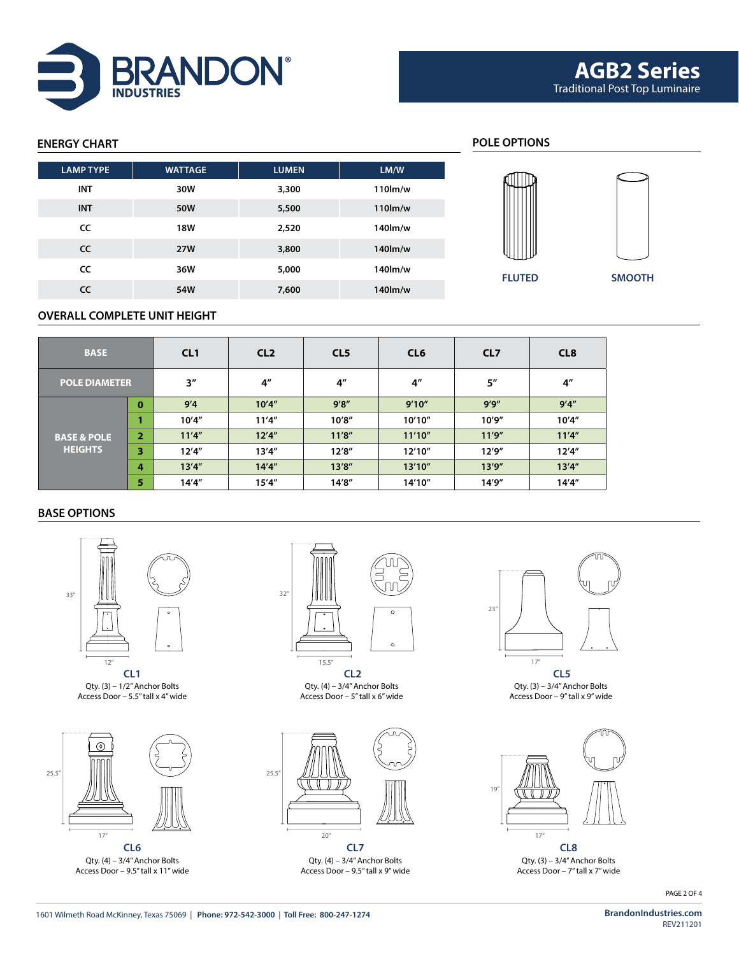

# **ENERGY CHART POLE OPTIONS FLUTED SMOOTH LAMP TYPE WATTAGE LUMEN LM/W INT 30W 3,300 110lm/w INT 50W 5,500 110lm/w CC 18W 2,520 140lm/w CC 27W 3,800 140lm/w CC 36W 5,000 140lm/w CC 54W 7,600 140lm/w**

#### **OVERALL COMPLETE UNIT HEIGHT**

| <b>BASE</b>            |          | CL <sub>1</sub> | CL <sub>2</sub>    | CL <sub>5</sub> | CL <sub>6</sub> | CL <sub>7</sub> | CL <sub>8</sub> |  |
|------------------------|----------|-----------------|--------------------|-----------------|-----------------|-----------------|-----------------|--|
| <b>POLE DIAMETER</b>   |          | 3''             | $4^{\prime\prime}$ | 4 <sup>''</sup> | 4 <sup>''</sup> | 5''             | 4 <sup>''</sup> |  |
|                        | $\bf{0}$ | 9'4             | 10'4''             | 9'8''           | 9'10''          | 9'9''           | 9'4''           |  |
|                        |          | 10'4''          | 11'4''             | 10'8''          | 10'10''         | 10'9''          | 10'4''          |  |
| <b>BASE &amp; POLE</b> | 2        | 11'4''          | 12'4''             | 11'8''          | 11'10''         | 11'9''          | 11'4''          |  |
| <b>HEIGHTS</b>         | 3        | 12'4''          | 13'4''             | 12'8''          | 12'10"          | 12'9''          | 12'4''          |  |
|                        | 4        | 13'4''          | 14'4''             | 13'8''          | 13'10''         | 13'9''          | 13'4''          |  |
|                        | 5        | 14'4''          | 15'4''             | 14'8''          | 14'10"          | 14'9"           | 14'4''          |  |

#### **BASE OPTIONS**



Qty. (3) – 1/2" Anchor Bolts Access Door – 5.5" tall x 4" wide



Qty. (4) – 3/4" Anchor Bolts Access Door – 9.5" tall x 11" wide



**CL1 CL2 CL5** Qty. (4) – 3/4" Anchor Bolts Access Door – 5" tall x 6" wide



**CL6 CL7 CL8** Qty. (4) – 3/4" Anchor Bolts Access Door – 9.5" tall x 9" wide



Qty. (3) – 3/4" Anchor Bolts Access Door – 9" tall x 9" wide



Qty. (3) – 3/4" Anchor Bolts Access Door – 7" tall x 7" wide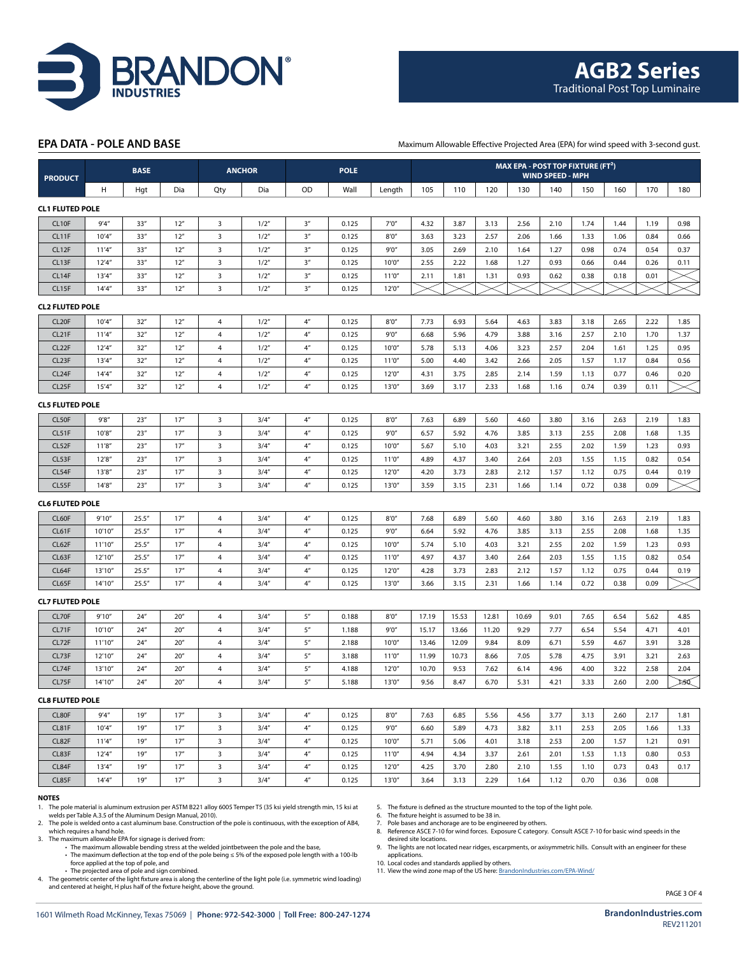

#### **EPA DATA - POLE AND BASE**

Maximum Allowable Effective Projected Area (EPA) for wind speed with 3-second gust.

| <b>PRODUCT</b>         |         | <b>BASE</b> |                 | <b>ANCHOR</b>           |       | <b>POLE</b>        |       |        | MAX EPA - POST TOP FIXTURE (FT <sup>2</sup> )<br><b>WIND SPEED - MPH</b> |       |       |       |      |      |      |      |      |
|------------------------|---------|-------------|-----------------|-------------------------|-------|--------------------|-------|--------|--------------------------------------------------------------------------|-------|-------|-------|------|------|------|------|------|
|                        | н       | Hgt         | Dia             | Qty                     | Dia   | OD                 | Wall  | Length | 105                                                                      | 110   | 120   | 130   | 140  | 150  | 160  | 170  | 180  |
| <b>CL1 FLUTED POLE</b> |         |             |                 |                         |       |                    |       |        |                                                                          |       |       |       |      |      |      |      |      |
| CL <sub>10F</sub>      | 9'4''   | 33''        | 12"             | $\overline{3}$          | 1/2"  | 3 <sup>n</sup>     | 0.125 | 7'0''  | 4.32                                                                     | 3.87  | 3.13  | 2.56  | 2.10 | 1.74 | 1.44 | 1.19 | 0.98 |
| CL11F                  | 10'4''  | 33''        | 12"             | 3                       | 1/2"  | 3 <sup>n</sup>     | 0.125 | 8'0''  | 3.63                                                                     | 3.23  | 2.57  | 2.06  | 1.66 | 1.33 | 1.06 | 0.84 | 0.66 |
| CL12F                  | 11'4''  | 33''        | 12''            | $\overline{\mathbf{3}}$ | 1/2'' | 3 <sup>n</sup>     | 0.125 | 9'0''  | 3.05                                                                     | 2.69  | 2.10  | 1.64  | 1.27 | 0.98 | 0.74 | 0.54 | 0.37 |
| CL13F                  | 12'4''  | 33''        | 12''            | 3                       | 1/2"  | 3 <sup>n</sup>     | 0.125 | 10'0'  | 2.55                                                                     | 2.22  | 1.68  | 1.27  | 0.93 | 0.66 | 0.44 | 0.26 | 0.11 |
| CL14F                  | 13'4''  | 33''        | 12''            | $\overline{\mathbf{3}}$ | 1/2"  | 3''                | 0.125 | 11'0'' | 2.11                                                                     | 1.81  | 1.31  | 0.93  | 0.62 | 0.38 | 0.18 | 0.01 |      |
| CL15F                  | 14'4''  | 33''        | 12"             | $\overline{\mathbf{3}}$ | 1/2"  | 3''                | 0.125 | 12'0'' |                                                                          |       |       |       |      |      |      |      |      |
| <b>CL2 FLUTED POLE</b> |         |             |                 |                         |       |                    |       |        |                                                                          |       |       |       |      |      |      |      |      |
| CL <sub>20F</sub>      | 10'4''  | 32"         | 12"             | 4                       | 1/2'' | 4 <sup>n</sup>     | 0.125 | 8'0''  | 7.73                                                                     | 6.93  | 5.64  | 4.63  | 3.83 | 3.18 | 2.65 | 2.22 | 1.85 |
| CL <sub>21</sub> F     | 11'4''  | 32"         | 12"             | $\overline{4}$          | 1/2'' | 4 <sup>n</sup>     | 0.125 | 9'0''  | 6.68                                                                     | 5.96  | 4.79  | 3.88  | 3.16 | 2.57 | 2.10 | 1.70 | 1.37 |
| CL <sub>22</sub> F     | 12'4''  | 32''        | 12''            | $\overline{a}$          | 1/2"  | $4^{\prime\prime}$ | 0.125 | 10'0'' | 5.78                                                                     | 5.13  | 4.06  | 3.23  | 2.57 | 2.04 | 1.61 | 1.25 | 0.95 |
| CL <sub>23</sub> F     | 13'4''  | 32"         | 12"             | $\overline{4}$          | 1/2"  | $4''$              | 0.125 | 11'0'' | 5.00                                                                     | 4.40  | 3.42  | 2.66  | 2.05 | 1.57 | 1.17 | 0.84 | 0.56 |
| CL <sub>24</sub> F     | 14'4''  | 32"         | 12"             | 4                       | 1/2"  | 4 <sup>n</sup>     | 0.125 | 12'0'' | 4.31                                                                     | 3.75  | 2.85  | 2.14  | 1.59 | 1.13 | 0.77 | 0.46 | 0.20 |
| CL <sub>25F</sub>      | 15'4''  | 32"         | 12"             | $\overline{4}$          | 1/2"  | 4 <sup>n</sup>     | 0.125 | 13'0'' | 3.69                                                                     | 3.17  | 2.33  | 1.68  | 1.16 | 0.74 | 0.39 | 0.11 |      |
| <b>CL5 FLUTED POLE</b> |         |             |                 |                         |       |                    |       |        |                                                                          |       |       |       |      |      |      |      |      |
| CL50F                  | 9'8''   | 23''        | 17''            | $\overline{\mathbf{3}}$ | 3/4'' | 4 <sup>n</sup>     | 0.125 | 8'0''  | 7.63                                                                     | 6.89  | 5.60  | 4.60  | 3.80 | 3.16 | 2.63 | 2.19 | 1.83 |
| CL51F                  | 10'8''  | 23''        | 17''            | $\overline{\mathbf{3}}$ | 3/4'' | 4 <sup>n</sup>     | 0.125 | 9'0''  | 6.57                                                                     | 5.92  | 4.76  | 3.85  | 3.13 | 2.55 | 2.08 | 1.68 | 1.35 |
| CL52F                  | 11'8''  | 23''        | 17''            | $\overline{\mathbf{3}}$ | 3/4'' | $4''$              | 0.125 | 10'0'' | 5.67                                                                     | 5.10  | 4.03  | 3.21  | 2.55 | 2.02 | 1.59 | 1.23 | 0.93 |
| CL53F                  | 12'8''  | 23''        | 17''            | $\overline{\mathbf{3}}$ | 3/4'' | 4 <sup>n</sup>     | 0.125 | 11'0'' | 4.89                                                                     | 4.37  | 3.40  | 2.64  | 2.03 | 1.55 | 1.15 | 0.82 | 0.54 |
| CL54F                  | 13'8''  | 23''        | 17''            | 3                       | 3/4'' | $4^{\prime\prime}$ | 0.125 | 12'0'' | 4.20                                                                     | 3.73  | 2.83  | 2.12  | 1.57 | 1.12 | 0.75 | 0.44 | 0.19 |
| CL55F                  | 14'8''  | 23''        | 17''            | 3                       | 3/4'' | 4 <sup>n</sup>     | 0.125 | 13'0'' | 3.59                                                                     | 3.15  | 2.31  | 1.66  | 1.14 | 0.72 | 0.38 | 0.09 |      |
| <b>CL6 FLUTED POLE</b> |         |             |                 |                         |       |                    |       |        |                                                                          |       |       |       |      |      |      |      |      |
| CL60F                  | 9'10''  | 25.5''      | 17''            | $\overline{4}$          | 3/4'' | $4''$              | 0.125 | 8'0''  | 7.68                                                                     | 6.89  | 5.60  | 4.60  | 3.80 | 3.16 | 2.63 | 2.19 | 1.83 |
| CL61F                  | 10'10'' | 25.5''      | 17''            | 4                       | 3/4'' | 4 <sup>n</sup>     | 0.125 | 9'0''  | 6.64                                                                     | 5.92  | 4.76  | 3.85  | 3.13 | 2.55 | 2.08 | 1.68 | 1.35 |
| CL62F                  | 11'10"  | 25.5''      | 17''            | 4                       | 3/4'' | 4 <sup>n</sup>     | 0.125 | 10'0'' | 5.74                                                                     | 5.10  | 4.03  | 3.21  | 2.55 | 2.02 | 1.59 | 1.23 | 0.93 |
| CL63F                  | 12'10"  | 25.5''      | 17''            | $\overline{4}$          | 3/4'' | 4 <sup>n</sup>     | 0.125 | 11'0'' | 4.97                                                                     | 4.37  | 3.40  | 2.64  | 2.03 | 1.55 | 1.15 | 0.82 | 0.54 |
| CL64F                  | 13'10"  | 25.5''      | 17''            | 4                       | 3/4'' | $4''$              | 0.125 | 12'0'' | 4.28                                                                     | 3.73  | 2.83  | 2.12  | 1.57 | 1.12 | 0.75 | 0.44 | 0.19 |
| CL65F                  | 14'10"  | 25.5''      | 17''            | $\overline{4}$          | 3/4'' | 4 <sup>n</sup>     | 0.125 | 13'0'' | 3.66                                                                     | 3.15  | 2.31  | 1.66  | 1.14 | 0.72 | 0.38 | 0.09 |      |
| <b>CL7 FLUTED POLE</b> |         |             |                 |                         |       |                    |       |        |                                                                          |       |       |       |      |      |      |      |      |
| CL70F                  | 9'10''  | 24''        | 20''            | 4                       | 3/4'' | 5''                | 0.188 | 8'0''  | 17.19                                                                    | 15.53 | 12.81 | 10.69 | 9.01 | 7.65 | 6.54 | 5.62 | 4.85 |
| CL71F                  | 10'10"  | 24''        | 20 <sup>n</sup> | $\overline{4}$          | 3/4'' | 5''                | 1.188 | 9'0''  | 15.17                                                                    | 13.66 | 11.20 | 9.29  | 7.77 | 6.54 | 5.54 | 4.71 | 4.01 |
| CL72F                  | 11'10"  | 24''        | 20''            | $\overline{4}$          | 3/4'' | 5''                | 2.188 | 10'0'' | 13.46                                                                    | 12.09 | 9.84  | 8.09  | 6.71 | 5.59 | 4.67 | 3.91 | 3.28 |
| CL73F                  | 12'10"  | 24''        | 20''            | $\overline{4}$          | 3/4'' | 5''                | 3.188 | 11'0'' | 11.99                                                                    | 10.73 | 8.66  | 7.05  | 5.78 | 4.75 | 3.91 | 3.21 | 2.63 |
| CL74F                  | 13'10'' | 24''        | 20''            | 4                       | 3/4'' | 5''                | 4.188 | 12'0'' | 10.70                                                                    | 9.53  | 7.62  | 6.14  | 4.96 | 4.00 | 3.22 | 2.58 | 2.04 |
| CL75F                  | 14'10'' | 24''        | 20''            | 4                       | 3/4'' | 5''                | 5.188 | 13'0'' | 9.56                                                                     | 8.47  | 6.70  | 5.31  | 4.21 | 3.33 | 2.60 | 2.00 | 130. |
| <b>CL8 FLUTED POLE</b> |         |             |                 |                         |       |                    |       |        |                                                                          |       |       |       |      |      |      |      |      |
| CL80F                  | 9'4''   | 19''        | 17''            | $\overline{\mathbf{3}}$ | 3/4'' | 4 <sup>n</sup>     | 0.125 | 8'0''  | 7.63                                                                     | 6.85  | 5.56  | 4.56  | 3.77 | 3.13 | 2.60 | 2.17 | 1.81 |
| CL81F                  | 10'4''  | 19''        | 17''            | $\overline{\mathbf{3}}$ | 3/4'' | $4''$              | 0.125 | 9'0''  | 6.60                                                                     | 5.89  | 4.73  | 3.82  | 3.11 | 2.53 | 2.05 | 1.66 | 1.33 |
| CL82F                  | 11'4''  | 19''        | 17''            | $\overline{3}$          | 3/4'' | 4 <sup>n</sup>     | 0.125 | 10'0'' | 5.71                                                                     | 5.06  | 4.01  | 3.18  | 2.53 | 2.00 | 1.57 | 1.21 | 0.91 |
| CL83F                  | 12'4''  | 19''        | 17''            | $\overline{\mathbf{3}}$ | 3/4'' | 4 <sup>n</sup>     | 0.125 | 11'0'' | 4.94                                                                     | 4.34  | 3.37  | 2.61  | 2.01 | 1.53 | 1.13 | 0.80 | 0.53 |
| CL84F                  | 13'4''  | 19''        | 17''            | $\overline{\mathbf{3}}$ | 3/4'' | $4^{\prime\prime}$ | 0.125 | 12'0'' | 4.25                                                                     | 3.70  | 2.80  | 2.10  | 1.55 | 1.10 | 0.73 | 0.43 | 0.17 |
| CL85F                  | 14'4''  | 19''        | 17''            | $\overline{\mathbf{3}}$ | 3/4'' | 4 <sup>n</sup>     | 0.125 | 13'0'' | 3.64                                                                     | 3.13  | 2.29  | 1.64  | 1.12 | 0.70 | 0.36 | 0.08 |      |
| <b>NOTES</b>           |         |             |                 |                         |       |                    |       |        |                                                                          |       |       |       |      |      |      |      |      |

1. The pole material is aluminum extrusion per ASTM B221 alloy 6005 Temper T5 (35 ksi yield strength min, 15 ksi at welds per Table A.3.5 of the Aluminum Design Manual, 2010).

2. The pole is welded onto a cast aluminum base. Construction of the pole is continuous, with the exception of AB4, which requires a hand hole.

3. The maximum allowable EPA for signage is derived from: • The maximum allowable bending stress at the welded jointbetween the pole and the base,

• The maximum deflection at the top end of the pole being ≤ 5% of the exposed pole length with a 100-lb force applied at the top of pole, and

• The projected area of pole and sign combined.<br>A The geometric center of the light fixture area is along the centerline of the light pole (i.e. symmetric wind loading)<br>and centered at height, H plus half of the fixture h

5. The fixture is defined as the structure mounted to the top of the light pole. 6. The fixture height is assumed to be 38 in.

7. Pole bases and anchorage are to be engineered by others. 8. Reference ASCE 7-10 for wind forces. Exposure C category. Consult ASCE 7-10 for basic wind speeds in the

desired site locations. 9. The lights are not located near ridges, escarpments, or axisymmetric hills. Consult with an engineer for these

applications. 10. Local codes and standards applied by others.

11. View the wind zone map of the US here: [BrandonIndustries.com/EPA-Wind/](http://BrandonIndustries.com/EPA-Wind/)